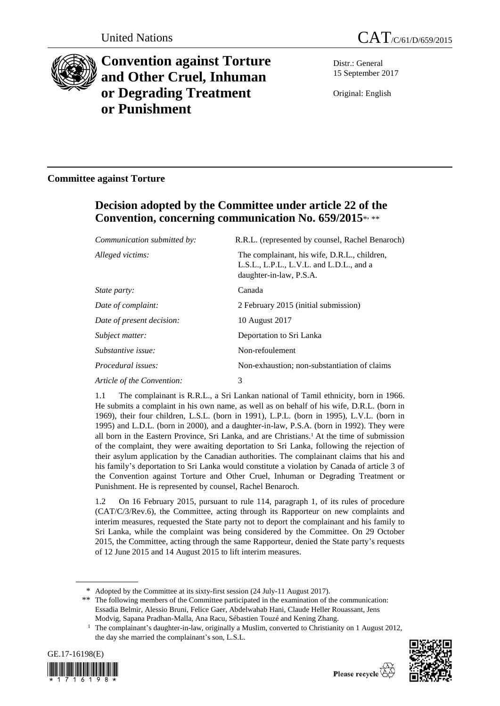



# **Convention against Torture and Other Cruel, Inhuman or Degrading Treatment or Punishment**

Distr.: General 15 September 2017

Original: English

### **Committee against Torture**

## **Decision adopted by the Committee under article 22 of the Convention, concerning communication No. 659/2015**\* , \*\*

| Communication submitted by: | R.R.L. (represented by counsel, Rachel Benaroch)                                                                    |
|-----------------------------|---------------------------------------------------------------------------------------------------------------------|
| Alleged victims:            | The complainant, his wife, D.R.L., children,<br>L.S.L., L.P.L., L.V.L. and L.D.L., and a<br>daughter-in-law, P.S.A. |
| <i>State party:</i>         | Canada                                                                                                              |
| Date of complaint:          | 2 February 2015 (initial submission)                                                                                |
| Date of present decision:   | 10 August 2017                                                                                                      |
| Subject matter:             | Deportation to Sri Lanka                                                                                            |
| Substantive issue:          | Non-refoulement                                                                                                     |
| Procedural issues:          | Non-exhaustion; non-substantiation of claims                                                                        |
| Article of the Convention:  | 3                                                                                                                   |

1.1 The complainant is R.R.L., a Sri Lankan national of Tamil ethnicity, born in 1966. He submits a complaint in his own name, as well as on behalf of his wife, D.R.L. (born in 1969), their four children, L.S.L. (born in 1991), L.P.L. (born in 1995), L.V.L. (born in 1995) and L.D.L. (born in 2000), and a daughter-in-law, P.S.A. (born in 1992). They were all born in the Eastern Province, Sri Lanka, and are Christians.<sup>1</sup> At the time of submission of the complaint, they were awaiting deportation to Sri Lanka, following the rejection of their asylum application by the Canadian authorities. The complainant claims that his and his family's deportation to Sri Lanka would constitute a violation by Canada of article 3 of the Convention against Torture and Other Cruel, Inhuman or Degrading Treatment or Punishment. He is represented by counsel, Rachel Benaroch.

1.2 On 16 February 2015, pursuant to rule 114, paragraph 1, of its rules of procedure (CAT/C/3/Rev.6), the Committee, acting through its Rapporteur on new complaints and interim measures, requested the State party not to deport the complainant and his family to Sri Lanka, while the complaint was being considered by the Committee. On 29 October 2015, the Committee, acting through the same Rapporteur, denied the State party's requests of 12 June 2015 and 14 August 2015 to lift interim measures.

\*\* The following members of the Committee participated in the examination of the communication: Essadia Belmir, Alessio Bruni, Felice Gaer, Abdelwahab Hani, Claude Heller Rouassant, Jens Modvig, Sapana Pradhan-Malla, Ana Racu, Sébastien Touzé and Kening Zhang.

<sup>&</sup>lt;sup>1</sup> The complainant's daughter-in-law, originally a Muslim, converted to Christianity on 1 August 2012, the day she married the complainant's son, L.S.L.





<sup>\*</sup> Adopted by the Committee at its sixty-first session (24 July-11 August 2017).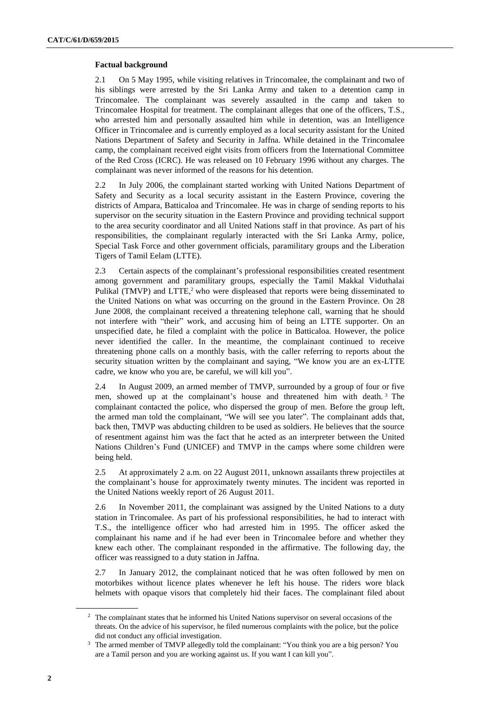#### **Factual background**

2.1 On 5 May 1995, while visiting relatives in Trincomalee, the complainant and two of his siblings were arrested by the Sri Lanka Army and taken to a detention camp in Trincomalee. The complainant was severely assaulted in the camp and taken to Trincomalee Hospital for treatment. The complainant alleges that one of the officers, T.S., who arrested him and personally assaulted him while in detention, was an Intelligence Officer in Trincomalee and is currently employed as a local security assistant for the United Nations Department of Safety and Security in Jaffna. While detained in the Trincomalee camp, the complainant received eight visits from officers from the International Committee of the Red Cross (ICRC). He was released on 10 February 1996 without any charges. The complainant was never informed of the reasons for his detention.

2.2 In July 2006, the complainant started working with United Nations Department of Safety and Security as a local security assistant in the Eastern Province, covering the districts of Ampara, Batticaloa and Trincomalee. He was in charge of sending reports to his supervisor on the security situation in the Eastern Province and providing technical support to the area security coordinator and all United Nations staff in that province. As part of his responsibilities, the complainant regularly interacted with the Sri Lanka Army, police, Special Task Force and other government officials, paramilitary groups and the Liberation Tigers of Tamil Eelam (LTTE).

2.3 Certain aspects of the complainant's professional responsibilities created resentment among government and paramilitary groups, especially the Tamil Makkal Viduthalai Pulikal (TMVP) and LTTE,<sup>2</sup> who were displeased that reports were being disseminated to the United Nations on what was occurring on the ground in the Eastern Province. On 28 June 2008, the complainant received a threatening telephone call, warning that he should not interfere with "their" work, and accusing him of being an LTTE supporter. On an unspecified date, he filed a complaint with the police in Batticaloa. However, the police never identified the caller. In the meantime, the complainant continued to receive threatening phone calls on a monthly basis, with the caller referring to reports about the security situation written by the complainant and saying, "We know you are an ex-LTTE cadre, we know who you are, be careful, we will kill you".

2.4 In August 2009, an armed member of TMVP, surrounded by a group of four or five men, showed up at the complainant's house and threatened him with death. <sup>3</sup> The complainant contacted the police, who dispersed the group of men. Before the group left, the armed man told the complainant, "We will see you later". The complainant adds that, back then, TMVP was abducting children to be used as soldiers. He believes that the source of resentment against him was the fact that he acted as an interpreter between the United Nations Children's Fund (UNICEF) and TMVP in the camps where some children were being held.

2.5 At approximately 2 a.m. on 22 August 2011, unknown assailants threw projectiles at the complainant's house for approximately twenty minutes. The incident was reported in the United Nations weekly report of 26 August 2011.

2.6 In November 2011, the complainant was assigned by the United Nations to a duty station in Trincomalee. As part of his professional responsibilities, he had to interact with T.S., the intelligence officer who had arrested him in 1995. The officer asked the complainant his name and if he had ever been in Trincomalee before and whether they knew each other. The complainant responded in the affirmative. The following day, the officer was reassigned to a duty station in Jaffna.

2.7 In January 2012, the complainant noticed that he was often followed by men on motorbikes without licence plates whenever he left his house. The riders wore black helmets with opaque visors that completely hid their faces. The complainant filed about

<sup>&</sup>lt;sup>2</sup> The complainant states that he informed his United Nations supervisor on several occasions of the threats. On the advice of his supervisor, he filed numerous complaints with the police, but the police did not conduct any official investigation.

<sup>&</sup>lt;sup>3</sup> The armed member of TMVP allegedly told the complainant: "You think you are a big person? You are a Tamil person and you are working against us. If you want I can kill you".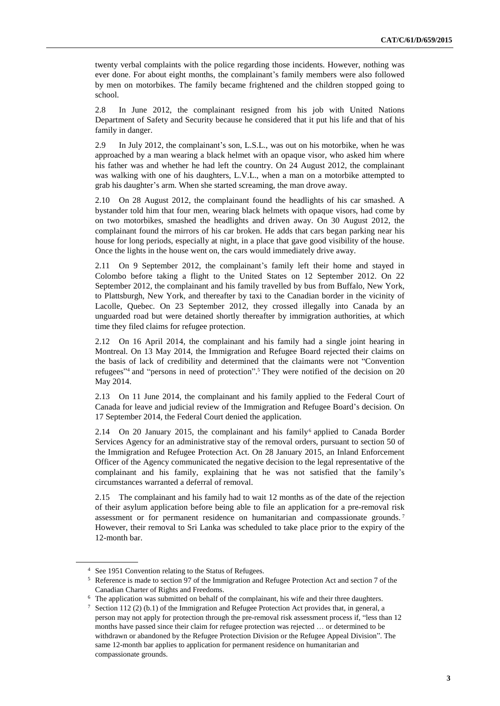twenty verbal complaints with the police regarding those incidents. However, nothing was ever done. For about eight months, the complainant's family members were also followed by men on motorbikes. The family became frightened and the children stopped going to school.

2.8 In June 2012, the complainant resigned from his job with United Nations Department of Safety and Security because he considered that it put his life and that of his family in danger.

2.9 In July 2012, the complainant's son, L.S.L., was out on his motorbike, when he was approached by a man wearing a black helmet with an opaque visor, who asked him where his father was and whether he had left the country. On 24 August 2012, the complainant was walking with one of his daughters, L.V.L., when a man on a motorbike attempted to grab his daughter's arm. When she started screaming, the man drove away.

2.10 On 28 August 2012, the complainant found the headlights of his car smashed. A bystander told him that four men, wearing black helmets with opaque visors, had come by on two motorbikes, smashed the headlights and driven away. On 30 August 2012, the complainant found the mirrors of his car broken. He adds that cars began parking near his house for long periods, especially at night, in a place that gave good visibility of the house. Once the lights in the house went on, the cars would immediately drive away.

2.11 On 9 September 2012, the complainant's family left their home and stayed in Colombo before taking a flight to the United States on 12 September 2012. On 22 September 2012, the complainant and his family travelled by bus from Buffalo, New York, to Plattsburgh, New York, and thereafter by taxi to the Canadian border in the vicinity of Lacolle, Quebec. On 23 September 2012, they crossed illegally into Canada by an unguarded road but were detained shortly thereafter by immigration authorities, at which time they filed claims for refugee protection.

2.12 On 16 April 2014, the complainant and his family had a single joint hearing in Montreal. On 13 May 2014, the Immigration and Refugee Board rejected their claims on the basis of lack of credibility and determined that the claimants were not "Convention refugees" <sup>4</sup> and "persons in need of protection". <sup>5</sup> They were notified of the decision on 20 May 2014.

2.13 On 11 June 2014, the complainant and his family applied to the Federal Court of Canada for leave and judicial review of the Immigration and Refugee Board's decision. On 17 September 2014, the Federal Court denied the application.

2.14 On 20 January 2015, the complainant and his family<sup>6</sup> applied to Canada Border Services Agency for an administrative stay of the removal orders, pursuant to section 50 of the Immigration and Refugee Protection Act. On 28 January 2015, an Inland Enforcement Officer of the Agency communicated the negative decision to the legal representative of the complainant and his family, explaining that he was not satisfied that the family's circumstances warranted a deferral of removal.

2.15 The complainant and his family had to wait 12 months as of the date of the rejection of their asylum application before being able to file an application for a pre-removal risk assessment or for permanent residence on humanitarian and compassionate grounds. <sup>7</sup> However, their removal to Sri Lanka was scheduled to take place prior to the expiry of the 12-month bar.

<sup>4</sup> See 1951 Convention relating to the Status of Refugees.

<sup>5</sup> Reference is made to section 97 of the Immigration and Refugee Protection Act and section 7 of the Canadian Charter of Rights and Freedoms.

<sup>6</sup> The application was submitted on behalf of the complainant, his wife and their three daughters.

Section 112 (2) (b.1) of the Immigration and Refugee Protection Act provides that, in general, a person may not apply for protection through the pre-removal risk assessment process if, "less than 12 months have passed since their claim for refugee protection was rejected … or determined to be withdrawn or abandoned by the Refugee Protection Division or the Refugee Appeal Division". The same 12-month bar applies to application for permanent residence on humanitarian and compassionate grounds.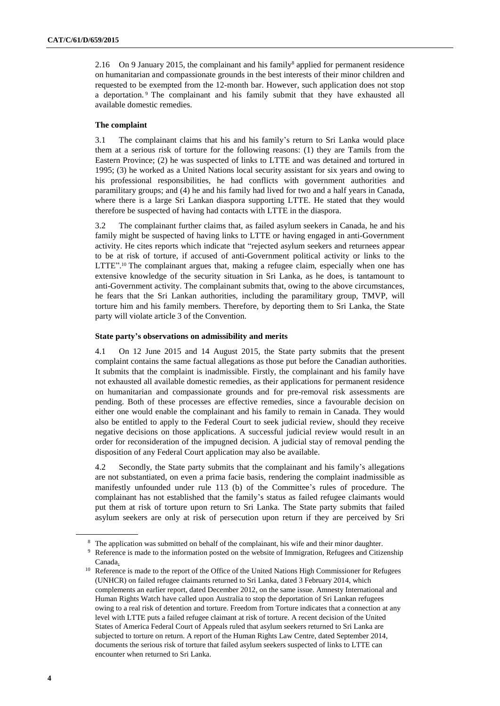2.16 On 9 January 2015, the complainant and his family<sup>8</sup> applied for permanent residence on humanitarian and compassionate grounds in the best interests of their minor children and requested to be exempted from the 12-month bar. However, such application does not stop a deportation. <sup>9</sup> The complainant and his family submit that they have exhausted all available domestic remedies.

#### **The complaint**

3.1 The complainant claims that his and his family's return to Sri Lanka would place them at a serious risk of torture for the following reasons: (1) they are Tamils from the Eastern Province; (2) he was suspected of links to LTTE and was detained and tortured in 1995; (3) he worked as a United Nations local security assistant for six years and owing to his professional responsibilities, he had conflicts with government authorities and paramilitary groups; and (4) he and his family had lived for two and a half years in Canada, where there is a large Sri Lankan diaspora supporting LTTE. He stated that they would therefore be suspected of having had contacts with LTTE in the diaspora.

3.2 The complainant further claims that, as failed asylum seekers in Canada, he and his family might be suspected of having links to LTTE or having engaged in anti-Government activity. He cites reports which indicate that "rejected asylum seekers and returnees appear to be at risk of torture, if accused of anti-Government political activity or links to the LTTE".<sup>10</sup> The complainant argues that, making a refugee claim, especially when one has extensive knowledge of the security situation in Sri Lanka, as he does, is tantamount to anti-Government activity. The complainant submits that, owing to the above circumstances, he fears that the Sri Lankan authorities, including the paramilitary group, TMVP, will torture him and his family members. Therefore, by deporting them to Sri Lanka, the State party will violate article 3 of the Convention.

#### **State party's observations on admissibility and merits**

4.1 On 12 June 2015 and 14 August 2015, the State party submits that the present complaint contains the same factual allegations as those put before the Canadian authorities. It submits that the complaint is inadmissible. Firstly, the complainant and his family have not exhausted all available domestic remedies, as their applications for permanent residence on humanitarian and compassionate grounds and for pre-removal risk assessments are pending. Both of these processes are effective remedies, since a favourable decision on either one would enable the complainant and his family to remain in Canada. They would also be entitled to apply to the Federal Court to seek judicial review, should they receive negative decisions on those applications. A successful judicial review would result in an order for reconsideration of the impugned decision. A judicial stay of removal pending the disposition of any Federal Court application may also be available.

4.2 Secondly, the State party submits that the complainant and his family's allegations are not substantiated, on even a prima facie basis, rendering the complaint inadmissible as manifestly unfounded under rule 113 (b) of the Committee's rules of procedure. The complainant has not established that the family's status as failed refugee claimants would put them at risk of torture upon return to Sri Lanka. The State party submits that failed asylum seekers are only at risk of persecution upon return if they are perceived by Sri

<sup>8</sup> The application was submitted on behalf of the complainant, his wife and their minor daughter.

<sup>9</sup> Reference is made to the information posted on the website of Immigration, Refugees and Citizenship Canada.

<sup>&</sup>lt;sup>10</sup> Reference is made to the report of the Office of the United Nations High Commissioner for Refugees (UNHCR) on failed refugee claimants returned to Sri Lanka, dated 3 February 2014, which complements an earlier report, dated December 2012, on the same issue. Amnesty International and Human Rights Watch have called upon Australia to stop the deportation of Sri Lankan refugees owing to a real risk of detention and torture. Freedom from Torture indicates that a connection at any level with LTTE puts a failed refugee claimant at risk of torture. A recent decision of the United States of America Federal Court of Appeals ruled that asylum seekers returned to Sri Lanka are subjected to torture on return. A report of the Human Rights Law Centre, dated September 2014, documents the serious risk of torture that failed asylum seekers suspected of links to LTTE can encounter when returned to Sri Lanka.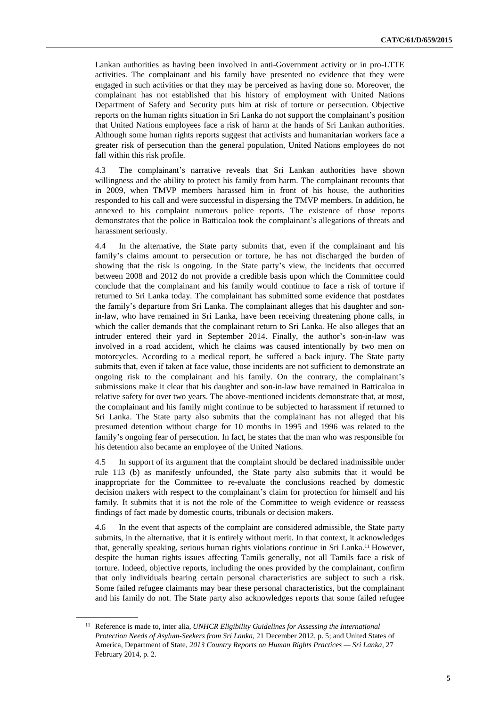Lankan authorities as having been involved in anti-Government activity or in pro-LTTE activities. The complainant and his family have presented no evidence that they were engaged in such activities or that they may be perceived as having done so. Moreover, the complainant has not established that his history of employment with United Nations Department of Safety and Security puts him at risk of torture or persecution. Objective reports on the human rights situation in Sri Lanka do not support the complainant's position that United Nations employees face a risk of harm at the hands of Sri Lankan authorities. Although some human rights reports suggest that activists and humanitarian workers face a greater risk of persecution than the general population, United Nations employees do not fall within this risk profile.

4.3 The complainant's narrative reveals that Sri Lankan authorities have shown willingness and the ability to protect his family from harm. The complainant recounts that in 2009, when TMVP members harassed him in front of his house, the authorities responded to his call and were successful in dispersing the TMVP members. In addition, he annexed to his complaint numerous police reports. The existence of those reports demonstrates that the police in Batticaloa took the complainant's allegations of threats and harassment seriously.

4.4 In the alternative, the State party submits that, even if the complainant and his family's claims amount to persecution or torture, he has not discharged the burden of showing that the risk is ongoing. In the State party's view, the incidents that occurred between 2008 and 2012 do not provide a credible basis upon which the Committee could conclude that the complainant and his family would continue to face a risk of torture if returned to Sri Lanka today. The complainant has submitted some evidence that postdates the family's departure from Sri Lanka. The complainant alleges that his daughter and sonin-law, who have remained in Sri Lanka, have been receiving threatening phone calls, in which the caller demands that the complainant return to Sri Lanka. He also alleges that an intruder entered their yard in September 2014. Finally, the author's son-in-law was involved in a road accident, which he claims was caused intentionally by two men on motorcycles. According to a medical report, he suffered a back injury. The State party submits that, even if taken at face value, those incidents are not sufficient to demonstrate an ongoing risk to the complainant and his family. On the contrary, the complainant's submissions make it clear that his daughter and son-in-law have remained in Batticaloa in relative safety for over two years. The above-mentioned incidents demonstrate that, at most, the complainant and his family might continue to be subjected to harassment if returned to Sri Lanka. The State party also submits that the complainant has not alleged that his presumed detention without charge for 10 months in 1995 and 1996 was related to the family's ongoing fear of persecution. In fact, he states that the man who was responsible for his detention also became an employee of the United Nations.

4.5 In support of its argument that the complaint should be declared inadmissible under rule 113 (b) as manifestly unfounded, the State party also submits that it would be inappropriate for the Committee to re-evaluate the conclusions reached by domestic decision makers with respect to the complainant's claim for protection for himself and his family. It submits that it is not the role of the Committee to weigh evidence or reassess findings of fact made by domestic courts, tribunals or decision makers.

4.6 In the event that aspects of the complaint are considered admissible, the State party submits, in the alternative, that it is entirely without merit. In that context, it acknowledges that, generally speaking, serious human rights violations continue in Sri Lanka.<sup>11</sup> However, despite the human rights issues affecting Tamils generally, not all Tamils face a risk of torture. Indeed, objective reports, including the ones provided by the complainant, confirm that only individuals bearing certain personal characteristics are subject to such a risk. Some failed refugee claimants may bear these personal characteristics, but the complainant and his family do not. The State party also acknowledges reports that some failed refugee

<sup>11</sup> Reference is made to, inter alia, *UNHCR Eligibility Guidelines for Assessing the International Protection Needs of Asylum-Seekers from Sri Lanka*, 21 December 2012, p. 5; and United States of America, Department of State, *2013 Country Reports on Human Rights Practices — Sri Lanka*, 27 February 2014, p. 2.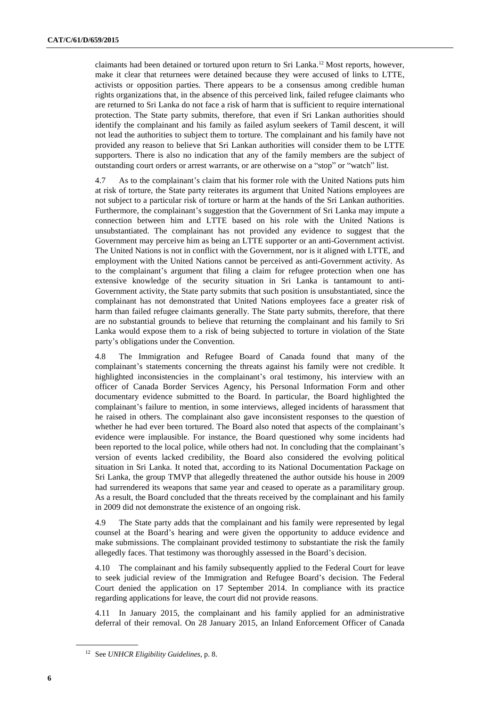claimants had been detained or tortured upon return to Sri Lanka.<sup>12</sup> Most reports, however, make it clear that returnees were detained because they were accused of links to LTTE, activists or opposition parties. There appears to be a consensus among credible human rights organizations that, in the absence of this perceived link, failed refugee claimants who are returned to Sri Lanka do not face a risk of harm that is sufficient to require international protection. The State party submits, therefore, that even if Sri Lankan authorities should identify the complainant and his family as failed asylum seekers of Tamil descent, it will not lead the authorities to subject them to torture. The complainant and his family have not provided any reason to believe that Sri Lankan authorities will consider them to be LTTE supporters. There is also no indication that any of the family members are the subject of outstanding court orders or arrest warrants, or are otherwise on a "stop" or "watch" list.

4.7 As to the complainant's claim that his former role with the United Nations puts him at risk of torture, the State party reiterates its argument that United Nations employees are not subject to a particular risk of torture or harm at the hands of the Sri Lankan authorities. Furthermore, the complainant's suggestion that the Government of Sri Lanka may impute a connection between him and LTTE based on his role with the United Nations is unsubstantiated. The complainant has not provided any evidence to suggest that the Government may perceive him as being an LTTE supporter or an anti-Government activist. The United Nations is not in conflict with the Government, nor is it aligned with LTTE, and employment with the United Nations cannot be perceived as anti-Government activity. As to the complainant's argument that filing a claim for refugee protection when one has extensive knowledge of the security situation in Sri Lanka is tantamount to anti-Government activity, the State party submits that such position is unsubstantiated, since the complainant has not demonstrated that United Nations employees face a greater risk of harm than failed refugee claimants generally. The State party submits, therefore, that there are no substantial grounds to believe that returning the complainant and his family to Sri Lanka would expose them to a risk of being subjected to torture in violation of the State party's obligations under the Convention.

4.8 The Immigration and Refugee Board of Canada found that many of the complainant's statements concerning the threats against his family were not credible. It highlighted inconsistencies in the complainant's oral testimony, his interview with an officer of Canada Border Services Agency, his Personal Information Form and other documentary evidence submitted to the Board. In particular, the Board highlighted the complainant's failure to mention, in some interviews, alleged incidents of harassment that he raised in others. The complainant also gave inconsistent responses to the question of whether he had ever been tortured. The Board also noted that aspects of the complainant's evidence were implausible. For instance, the Board questioned why some incidents had been reported to the local police, while others had not. In concluding that the complainant's version of events lacked credibility, the Board also considered the evolving political situation in Sri Lanka. It noted that, according to its National Documentation Package on Sri Lanka, the group TMVP that allegedly threatened the author outside his house in 2009 had surrendered its weapons that same year and ceased to operate as a paramilitary group. As a result, the Board concluded that the threats received by the complainant and his family in 2009 did not demonstrate the existence of an ongoing risk.

4.9 The State party adds that the complainant and his family were represented by legal counsel at the Board's hearing and were given the opportunity to adduce evidence and make submissions. The complainant provided testimony to substantiate the risk the family allegedly faces. That testimony was thoroughly assessed in the Board's decision.

4.10 The complainant and his family subsequently applied to the Federal Court for leave to seek judicial review of the Immigration and Refugee Board's decision. The Federal Court denied the application on 17 September 2014. In compliance with its practice regarding applications for leave, the court did not provide reasons.

4.11 In January 2015, the complainant and his family applied for an administrative deferral of their removal. On 28 January 2015, an Inland Enforcement Officer of Canada

<sup>12</sup> See *UNHCR Eligibility Guidelines*, p. 8.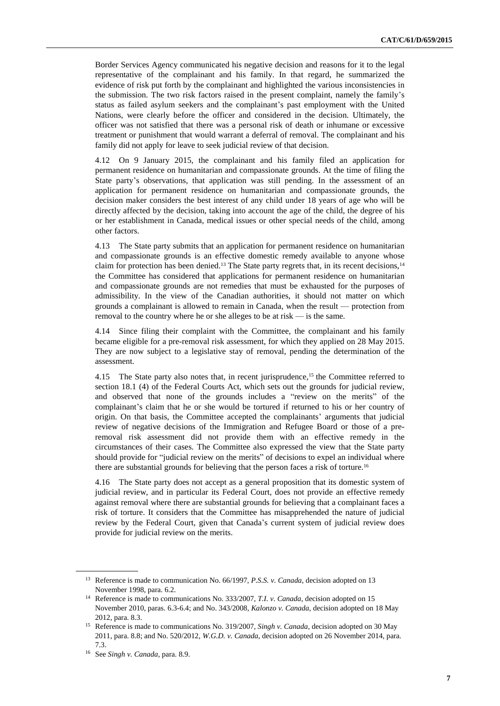Border Services Agency communicated his negative decision and reasons for it to the legal representative of the complainant and his family. In that regard, he summarized the evidence of risk put forth by the complainant and highlighted the various inconsistencies in the submission. The two risk factors raised in the present complaint, namely the family's status as failed asylum seekers and the complainant's past employment with the United Nations, were clearly before the officer and considered in the decision. Ultimately, the officer was not satisfied that there was a personal risk of death or inhumane or excessive treatment or punishment that would warrant a deferral of removal. The complainant and his family did not apply for leave to seek judicial review of that decision.

4.12 On 9 January 2015, the complainant and his family filed an application for permanent residence on humanitarian and compassionate grounds. At the time of filing the State party's observations, that application was still pending. In the assessment of an application for permanent residence on humanitarian and compassionate grounds, the decision maker considers the best interest of any child under 18 years of age who will be directly affected by the decision, taking into account the age of the child, the degree of his or her establishment in Canada, medical issues or other special needs of the child, among other factors.

4.13 The State party submits that an application for permanent residence on humanitarian and compassionate grounds is an effective domestic remedy available to anyone whose claim for protection has been denied.<sup>13</sup> The State party regrets that, in its recent decisions,<sup>14</sup> the Committee has considered that applications for permanent residence on humanitarian and compassionate grounds are not remedies that must be exhausted for the purposes of admissibility. In the view of the Canadian authorities, it should not matter on which grounds a complainant is allowed to remain in Canada, when the result — protection from removal to the country where he or she alleges to be at risk — is the same.

4.14 Since filing their complaint with the Committee, the complainant and his family became eligible for a pre-removal risk assessment, for which they applied on 28 May 2015. They are now subject to a legislative stay of removal, pending the determination of the assessment.

4.15 The State party also notes that, in recent jurisprudence,<sup>15</sup> the Committee referred to section 18.1 (4) of the Federal Courts Act, which sets out the grounds for judicial review, and observed that none of the grounds includes a "review on the merits" of the complainant's claim that he or she would be tortured if returned to his or her country of origin. On that basis, the Committee accepted the complainants' arguments that judicial review of negative decisions of the Immigration and Refugee Board or those of a preremoval risk assessment did not provide them with an effective remedy in the circumstances of their cases. The Committee also expressed the view that the State party should provide for "judicial review on the merits" of decisions to expel an individual where there are substantial grounds for believing that the person faces a risk of torture.<sup>16</sup>

4.16 The State party does not accept as a general proposition that its domestic system of judicial review, and in particular its Federal Court, does not provide an effective remedy against removal where there are substantial grounds for believing that a complainant faces a risk of torture. It considers that the Committee has misapprehended the nature of judicial review by the Federal Court, given that Canada's current system of judicial review does provide for judicial review on the merits.

<sup>13</sup> Reference is made to communication No. 66/1997, *P.S.S. v. Canada*, decision adopted on 13 November 1998, para. 6.2.

<sup>14</sup> Reference is made to communications No. 333/2007, *T.I. v. Canada*, decision adopted on 15 November 2010, paras. 6.3-6.4; and No. 343/2008, *Kalonzo v. Canada*, decision adopted on 18 May 2012, para. 8.3.

<sup>15</sup> Reference is made to communications No. 319/2007, *Singh v. Canada*, decision adopted on 30 May 2011, para. 8.8; and No. 520/2012, *W.G.D. v. Canada*, decision adopted on 26 November 2014, para. 7.3.

<sup>16</sup> See *Singh v. Canada*, para. 8.9.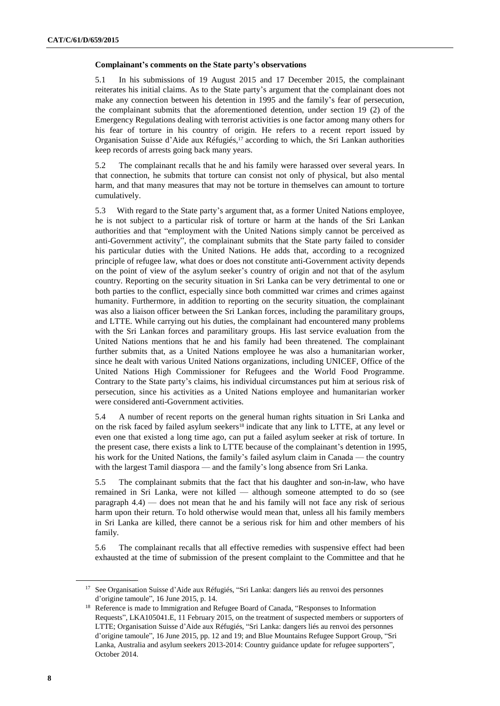#### **Complainant's comments on the State party's observations**

5.1 In his submissions of 19 August 2015 and 17 December 2015, the complainant reiterates his initial claims. As to the State party's argument that the complainant does not make any connection between his detention in 1995 and the family's fear of persecution, the complainant submits that the aforementioned detention, under section 19 (2) of the Emergency Regulations dealing with terrorist activities is one factor among many others for his fear of torture in his country of origin. He refers to a recent report issued by Organisation Suisse d'Aide aux Réfugiés,<sup>17</sup> according to which, the Sri Lankan authorities keep records of arrests going back many years.

5.2 The complainant recalls that he and his family were harassed over several years. In that connection, he submits that torture can consist not only of physical, but also mental harm, and that many measures that may not be torture in themselves can amount to torture cumulatively.

5.3 With regard to the State party's argument that, as a former United Nations employee, he is not subject to a particular risk of torture or harm at the hands of the Sri Lankan authorities and that "employment with the United Nations simply cannot be perceived as anti-Government activity", the complainant submits that the State party failed to consider his particular duties with the United Nations. He adds that, according to a recognized principle of refugee law, what does or does not constitute anti-Government activity depends on the point of view of the asylum seeker's country of origin and not that of the asylum country. Reporting on the security situation in Sri Lanka can be very detrimental to one or both parties to the conflict, especially since both committed war crimes and crimes against humanity. Furthermore, in addition to reporting on the security situation, the complainant was also a liaison officer between the Sri Lankan forces, including the paramilitary groups, and LTTE. While carrying out his duties, the complainant had encountered many problems with the Sri Lankan forces and paramilitary groups. His last service evaluation from the United Nations mentions that he and his family had been threatened. The complainant further submits that, as a United Nations employee he was also a humanitarian worker, since he dealt with various United Nations organizations, including UNICEF, Office of the United Nations High Commissioner for Refugees and the World Food Programme. Contrary to the State party's claims, his individual circumstances put him at serious risk of persecution, since his activities as a United Nations employee and humanitarian worker were considered anti-Government activities.

5.4 A number of recent reports on the general human rights situation in Sri Lanka and on the risk faced by failed asylum seekers<sup>18</sup> indicate that any link to LTTE, at any level or even one that existed a long time ago, can put a failed asylum seeker at risk of torture. In the present case, there exists a link to LTTE because of the complainant's detention in 1995, his work for the United Nations, the family's failed asylum claim in Canada — the country with the largest Tamil diaspora — and the family's long absence from Sri Lanka.

5.5 The complainant submits that the fact that his daughter and son-in-law, who have remained in Sri Lanka, were not killed — although someone attempted to do so (see paragraph 4.4) — does not mean that he and his family will not face any risk of serious harm upon their return. To hold otherwise would mean that, unless all his family members in Sri Lanka are killed, there cannot be a serious risk for him and other members of his family.

5.6 The complainant recalls that all effective remedies with suspensive effect had been exhausted at the time of submission of the present complaint to the Committee and that he

<sup>&</sup>lt;sup>17</sup> See Organisation Suisse d'Aide aux Réfugiés, "Sri Lanka: dangers liés au renvoi des personnes d'origine tamoule", 16 June 2015, p. 14.

<sup>&</sup>lt;sup>18</sup> Reference is made to Immigration and Refugee Board of Canada, "Responses to Information Requests", LKA105041.E, 11 February 2015, on the treatment of suspected members or supporters of LTTE; Organisation Suisse d'Aide aux Réfugiés, "Sri Lanka: dangers liés au renvoi des personnes d'origine tamoule", 16 June 2015, pp. 12 and 19; and Blue Mountains Refugee Support Group, "Sri Lanka, Australia and asylum seekers 2013-2014: Country guidance update for refugee supporters", October 2014.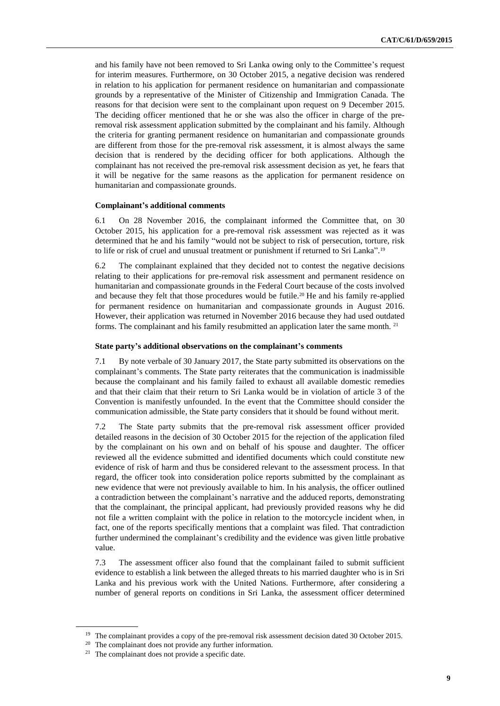and his family have not been removed to Sri Lanka owing only to the Committee's request for interim measures. Furthermore, on 30 October 2015, a negative decision was rendered in relation to his application for permanent residence on humanitarian and compassionate grounds by a representative of the Minister of Citizenship and Immigration Canada. The reasons for that decision were sent to the complainant upon request on 9 December 2015. The deciding officer mentioned that he or she was also the officer in charge of the preremoval risk assessment application submitted by the complainant and his family. Although the criteria for granting permanent residence on humanitarian and compassionate grounds are different from those for the pre-removal risk assessment, it is almost always the same decision that is rendered by the deciding officer for both applications. Although the complainant has not received the pre-removal risk assessment decision as yet, he fears that it will be negative for the same reasons as the application for permanent residence on humanitarian and compassionate grounds.

#### **Complainant's additional comments**

6.1 On 28 November 2016, the complainant informed the Committee that, on 30 October 2015, his application for a pre-removal risk assessment was rejected as it was determined that he and his family "would not be subject to risk of persecution, torture, risk to life or risk of cruel and unusual treatment or punishment if returned to Sri Lanka".<sup>19</sup>

6.2 The complainant explained that they decided not to contest the negative decisions relating to their applications for pre-removal risk assessment and permanent residence on humanitarian and compassionate grounds in the Federal Court because of the costs involved and because they felt that those procedures would be futile.<sup>20</sup> He and his family re-applied for permanent residence on humanitarian and compassionate grounds in August 2016. However, their application was returned in November 2016 because they had used outdated forms. The complainant and his family resubmitted an application later the same month. <sup>21</sup>

#### **State party's additional observations on the complainant's comments**

7.1 By note verbale of 30 January 2017, the State party submitted its observations on the complainant's comments. The State party reiterates that the communication is inadmissible because the complainant and his family failed to exhaust all available domestic remedies and that their claim that their return to Sri Lanka would be in violation of article 3 of the Convention is manifestly unfounded. In the event that the Committee should consider the communication admissible, the State party considers that it should be found without merit.

7.2 The State party submits that the pre-removal risk assessment officer provided detailed reasons in the decision of 30 October 2015 for the rejection of the application filed by the complainant on his own and on behalf of his spouse and daughter. The officer reviewed all the evidence submitted and identified documents which could constitute new evidence of risk of harm and thus be considered relevant to the assessment process. In that regard, the officer took into consideration police reports submitted by the complainant as new evidence that were not previously available to him. In his analysis, the officer outlined a contradiction between the complainant's narrative and the adduced reports, demonstrating that the complainant, the principal applicant, had previously provided reasons why he did not file a written complaint with the police in relation to the motorcycle incident when, in fact, one of the reports specifically mentions that a complaint was filed. That contradiction further undermined the complainant's credibility and the evidence was given little probative value.

7.3 The assessment officer also found that the complainant failed to submit sufficient evidence to establish a link between the alleged threats to his married daughter who is in Sri Lanka and his previous work with the United Nations. Furthermore, after considering a number of general reports on conditions in Sri Lanka, the assessment officer determined

<sup>&</sup>lt;sup>19</sup> The complainant provides a copy of the pre-removal risk assessment decision dated 30 October 2015.

<sup>&</sup>lt;sup>20</sup> The complainant does not provide any further information.

<sup>21</sup> The complainant does not provide a specific date.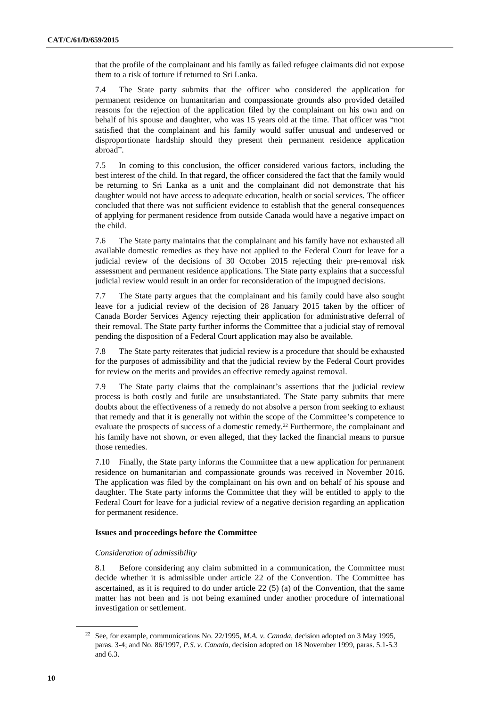that the profile of the complainant and his family as failed refugee claimants did not expose them to a risk of torture if returned to Sri Lanka.

7.4 The State party submits that the officer who considered the application for permanent residence on humanitarian and compassionate grounds also provided detailed reasons for the rejection of the application filed by the complainant on his own and on behalf of his spouse and daughter, who was 15 years old at the time. That officer was "not satisfied that the complainant and his family would suffer unusual and undeserved or disproportionate hardship should they present their permanent residence application abroad".

7.5 In coming to this conclusion, the officer considered various factors, including the best interest of the child. In that regard, the officer considered the fact that the family would be returning to Sri Lanka as a unit and the complainant did not demonstrate that his daughter would not have access to adequate education, health or social services. The officer concluded that there was not sufficient evidence to establish that the general consequences of applying for permanent residence from outside Canada would have a negative impact on the child.

7.6 The State party maintains that the complainant and his family have not exhausted all available domestic remedies as they have not applied to the Federal Court for leave for a judicial review of the decisions of 30 October 2015 rejecting their pre-removal risk assessment and permanent residence applications. The State party explains that a successful judicial review would result in an order for reconsideration of the impugned decisions.

7.7 The State party argues that the complainant and his family could have also sought leave for a judicial review of the decision of 28 January 2015 taken by the officer of Canada Border Services Agency rejecting their application for administrative deferral of their removal. The State party further informs the Committee that a judicial stay of removal pending the disposition of a Federal Court application may also be available.

7.8 The State party reiterates that judicial review is a procedure that should be exhausted for the purposes of admissibility and that the judicial review by the Federal Court provides for review on the merits and provides an effective remedy against removal.

7.9 The State party claims that the complainant's assertions that the judicial review process is both costly and futile are unsubstantiated. The State party submits that mere doubts about the effectiveness of a remedy do not absolve a person from seeking to exhaust that remedy and that it is generally not within the scope of the Committee's competence to evaluate the prospects of success of a domestic remedy.<sup>22</sup> Furthermore, the complainant and his family have not shown, or even alleged, that they lacked the financial means to pursue those remedies.

7.10 Finally, the State party informs the Committee that a new application for permanent residence on humanitarian and compassionate grounds was received in November 2016. The application was filed by the complainant on his own and on behalf of his spouse and daughter. The State party informs the Committee that they will be entitled to apply to the Federal Court for leave for a judicial review of a negative decision regarding an application for permanent residence.

#### **Issues and proceedings before the Committee**

#### *Consideration of admissibility*

8.1 Before considering any claim submitted in a communication, the Committee must decide whether it is admissible under article 22 of the Convention. The Committee has ascertained, as it is required to do under article  $22(5)$  (a) of the Convention, that the same matter has not been and is not being examined under another procedure of international investigation or settlement.

<sup>22</sup> See, for example, communications No. 22/1995, *M.A. v. Canada*, decision adopted on 3 May 1995, paras. 3-4; and No. 86/1997, *P.S. v. Canada*, decision adopted on 18 November 1999, paras. 5.1-5.3 and 6.3.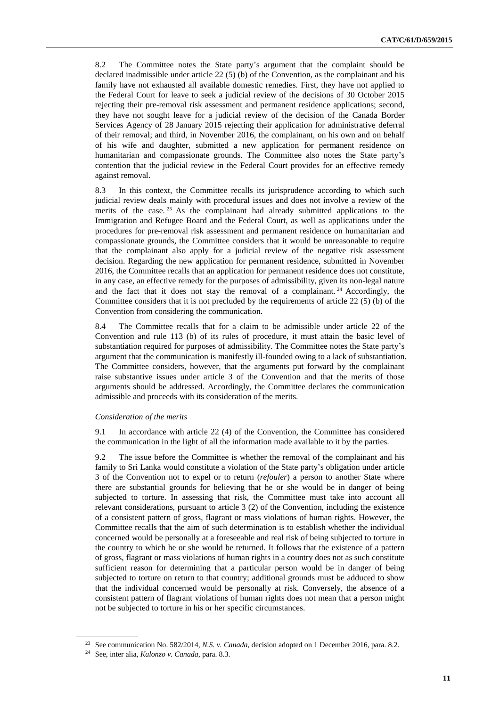8.2 The Committee notes the State party's argument that the complaint should be declared inadmissible under article 22 (5) (b) of the Convention, as the complainant and his family have not exhausted all available domestic remedies. First, they have not applied to the Federal Court for leave to seek a judicial review of the decisions of 30 October 2015 rejecting their pre-removal risk assessment and permanent residence applications; second, they have not sought leave for a judicial review of the decision of the Canada Border Services Agency of 28 January 2015 rejecting their application for administrative deferral of their removal; and third, in November 2016, the complainant, on his own and on behalf of his wife and daughter, submitted a new application for permanent residence on humanitarian and compassionate grounds. The Committee also notes the State party's contention that the judicial review in the Federal Court provides for an effective remedy against removal.

8.3 In this context, the Committee recalls its jurisprudence according to which such judicial review deals mainly with procedural issues and does not involve a review of the merits of the case. <sup>23</sup> As the complainant had already submitted applications to the Immigration and Refugee Board and the Federal Court, as well as applications under the procedures for pre-removal risk assessment and permanent residence on humanitarian and compassionate grounds, the Committee considers that it would be unreasonable to require that the complainant also apply for a judicial review of the negative risk assessment decision. Regarding the new application for permanent residence, submitted in November 2016, the Committee recalls that an application for permanent residence does not constitute, in any case, an effective remedy for the purposes of admissibility, given its non-legal nature and the fact that it does not stay the removal of a complainant.<sup>24</sup> Accordingly, the Committee considers that it is not precluded by the requirements of article 22 (5) (b) of the Convention from considering the communication.

8.4 The Committee recalls that for a claim to be admissible under article 22 of the Convention and rule 113 (b) of its rules of procedure, it must attain the basic level of substantiation required for purposes of admissibility. The Committee notes the State party's argument that the communication is manifestly ill-founded owing to a lack of substantiation. The Committee considers, however, that the arguments put forward by the complainant raise substantive issues under article 3 of the Convention and that the merits of those arguments should be addressed. Accordingly, the Committee declares the communication admissible and proceeds with its consideration of the merits.

#### *Consideration of the merits*

9.1 In accordance with article 22 (4) of the Convention, the Committee has considered the communication in the light of all the information made available to it by the parties.

9.2 The issue before the Committee is whether the removal of the complainant and his family to Sri Lanka would constitute a violation of the State party's obligation under article 3 of the Convention not to expel or to return (*refouler*) a person to another State where there are substantial grounds for believing that he or she would be in danger of being subjected to torture. In assessing that risk, the Committee must take into account all relevant considerations, pursuant to article 3 (2) of the Convention, including the existence of a consistent pattern of gross, flagrant or mass violations of human rights. However, the Committee recalls that the aim of such determination is to establish whether the individual concerned would be personally at a foreseeable and real risk of being subjected to torture in the country to which he or she would be returned. It follows that the existence of a pattern of gross, flagrant or mass violations of human rights in a country does not as such constitute sufficient reason for determining that a particular person would be in danger of being subjected to torture on return to that country; additional grounds must be adduced to show that the individual concerned would be personally at risk. Conversely, the absence of a consistent pattern of flagrant violations of human rights does not mean that a person might not be subjected to torture in his or her specific circumstances.

<sup>23</sup> See communication No. 582/2014, *N.S. v. Canada*, decision adopted on 1 December 2016, para. 8.2.

<sup>24</sup> See, inter alia, *Kalonzo v. Canada*, para. 8.3.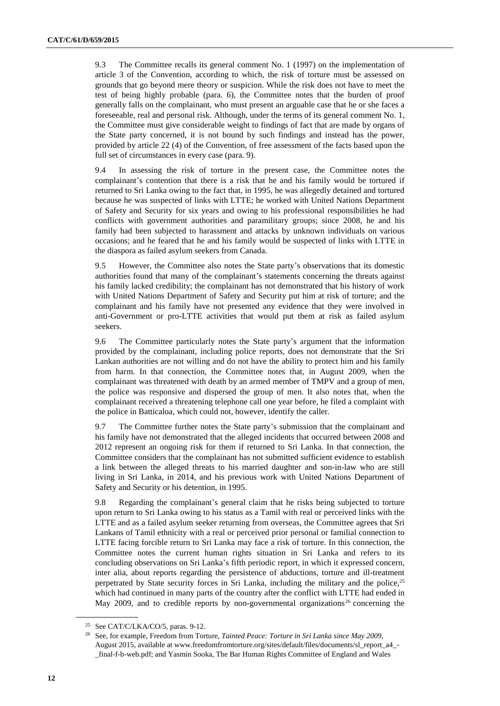9.3 The Committee recalls its general comment No. 1 (1997) on the implementation of article 3 of the Convention, according to which, the risk of torture must be assessed on grounds that go beyond mere theory or suspicion. While the risk does not have to meet the test of being highly probable (para. 6), the Committee notes that the burden of proof generally falls on the complainant, who must present an arguable case that he or she faces a foreseeable, real and personal risk. Although, under the terms of its general comment No. 1, the Committee must give considerable weight to findings of fact that are made by organs of the State party concerned, it is not bound by such findings and instead has the power, provided by article 22 (4) of the Convention, of free assessment of the facts based upon the full set of circumstances in every case (para. 9).

9.4 In assessing the risk of torture in the present case, the Committee notes the complainant's contention that there is a risk that he and his family would be tortured if returned to Sri Lanka owing to the fact that, in 1995, he was allegedly detained and tortured because he was suspected of links with LTTE; he worked with United Nations Department of Safety and Security for six years and owing to his professional responsibilities he had conflicts with government authorities and paramilitary groups; since 2008, he and his family had been subjected to harassment and attacks by unknown individuals on various occasions; and he feared that he and his family would be suspected of links with LTTE in the diaspora as failed asylum seekers from Canada.

9.5 However, the Committee also notes the State party's observations that its domestic authorities found that many of the complainant's statements concerning the threats against his family lacked credibility; the complainant has not demonstrated that his history of work with United Nations Department of Safety and Security put him at risk of torture; and the complainant and his family have not presented any evidence that they were involved in anti-Government or pro-LTTE activities that would put them at risk as failed asylum seekers.

9.6 The Committee particularly notes the State party's argument that the information provided by the complainant, including police reports, does not demonstrate that the Sri Lankan authorities are not willing and do not have the ability to protect him and his family from harm. In that connection, the Committee notes that, in August 2009, when the complainant was threatened with death by an armed member of TMPV and a group of men, the police was responsive and dispersed the group of men. It also notes that, when the complainant received a threatening telephone call one year before, he filed a complaint with the police in Batticaloa, which could not, however, identify the caller.

9.7 The Committee further notes the State party's submission that the complainant and his family have not demonstrated that the alleged incidents that occurred between 2008 and 2012 represent an ongoing risk for them if returned to Sri Lanka. In that connection, the Committee considers that the complainant has not submitted sufficient evidence to establish a link between the alleged threats to his married daughter and son-in-law who are still living in Sri Lanka, in 2014, and his previous work with United Nations Department of Safety and Security or his detention, in 1995.

9.8 Regarding the complainant's general claim that he risks being subjected to torture upon return to Sri Lanka owing to his status as a Tamil with real or perceived links with the LTTE and as a failed asylum seeker returning from overseas, the Committee agrees that Sri Lankans of Tamil ethnicity with a real or perceived prior personal or familial connection to LTTE facing forcible return to Sri Lanka may face a risk of torture. In this connection, the Committee notes the current human rights situation in Sri Lanka and refers to its concluding observations on Sri Lanka's fifth periodic report, in which it expressed concern, inter alia, about reports regarding the persistence of abductions, torture and ill-treatment perpetrated by State security forces in Sri Lanka, including the military and the police, $25$ which had continued in many parts of the country after the conflict with LTTE had ended in May 2009, and to credible reports by non-governmental organizations<sup>26</sup> concerning the

<sup>&</sup>lt;sup>25</sup> See CAT/C/LKA/CO/5, paras. 9-12.

<sup>26</sup> See, for example, Freedom from Torture, *Tainted Peace: Torture in Sri Lanka since May 2009*, August 2015, available at [www.freedomfromtorture.org/sites/default/files/documents/sl\\_report\\_a4\\_-](file:///C:/Users/elena.garrido%20romero/AppData/Local/Temp/notes77DF16/www.freedomfromtorture.org/sites/default/files/documents/sl_report_a4_-_final-f-b-web.pdf) [\\_final-f-b-web.pdf;](file:///C:/Users/elena.garrido%20romero/AppData/Local/Temp/notes77DF16/www.freedomfromtorture.org/sites/default/files/documents/sl_report_a4_-_final-f-b-web.pdf) and Yasmin Sooka, The Bar Human Rights Committee of England and Wales